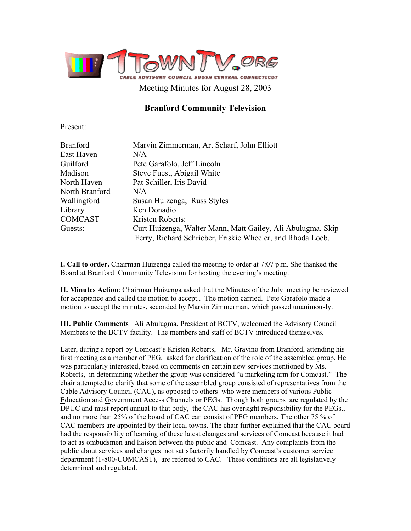

# **Branford Community Television**

Present:

| <b>Branford</b> | Marvin Zimmerman, Art Scharf, John Elliott                  |
|-----------------|-------------------------------------------------------------|
| East Haven      | N/A                                                         |
| Guilford        | Pete Garafolo, Jeff Lincoln                                 |
| Madison         | Steve Fuest, Abigail White                                  |
| North Haven     | Pat Schiller, Iris David                                    |
| North Branford  | N/A                                                         |
| Wallingford     | Susan Huizenga, Russ Styles                                 |
| Library         | Ken Donadio                                                 |
| <b>COMCAST</b>  | Kristen Roberts:                                            |
| Guests:         | Curt Huizenga, Walter Mann, Matt Gailey, Ali Abulugma, Skip |
|                 | Ferry, Richard Schrieber, Friskie Wheeler, and Rhoda Loeb.  |

**I. Call to order.** Chairman Huizenga called the meeting to order at 7:07 p.m. She thanked the Board at Branford Community Television for hosting the evening's meeting.

**II. Minutes Action**: Chairman Huizenga asked that the Minutes of the July meeting be reviewed for acceptance and called the motion to accept.. The motion carried. Pete Garafolo made a motion to accept the minutes, seconded by Marvin Zimmerman, which passed unanimously.

**III. Public Comments** Ali Abulugma, President of BCTV, welcomed the Advisory Council Members to the BCTV facility. The members and staff of BCTV introduced themselves.

Later, during a report by Comcast's Kristen Roberts, Mr. Gravino from Branford, attending his first meeting as a member of PEG, asked for clarification of the role of the assembled group. He was particularly interested, based on comments on certain new services mentioned by Ms. Roberts, in determining whether the group was considered "a marketing arm for Comcast." The chair attempted to clarify that some of the assembled group consisted of representatives from the Cable Advisory Council (CAC), as opposed to others who were members of various Public Education and Government Access Channels or PEGs. Though both groups are regulated by the DPUC and must report annual to that body, the CAC has oversight responsibility for the PEGs., and no more than 25% of the board of CAC can consist of PEG members. The other 75 % of CAC members are appointed by their local towns. The chair further explained that the CAC board had the responsibility of learning of these latest changes and services of Comcast because it had to act as ombudsmen and liaison between the public and Comcast. Any complaints from the public about services and changes not satisfactorily handled by Comcast's customer service department (1-800-COMCAST), are referred to CAC. These conditions are all legislatively determined and regulated.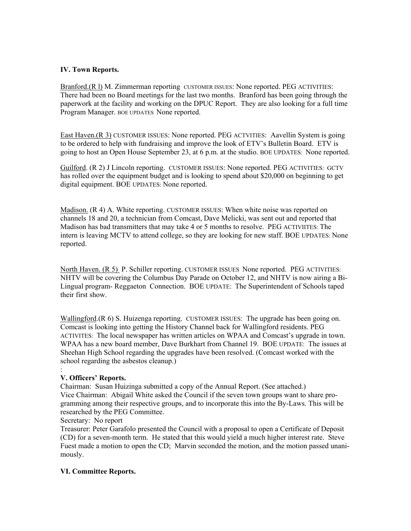# **IV. Town Reports.**

Branford.(R l) M. Zimmerman reporting CUSTOMER ISSUES: None reported. PEG ACTIVITIES: There had been no Board meetings for the last two months. Branford has been going through the paperwork at the facility and working on the DPUC Report. They are also looking for a full time Program Manager. BOE UPDATES None reported.

East Haven.(R 3) CUSTOMER ISSUES: None reported. PEG ACTVITIES: Aavellin System is going to be ordered to help with fundraising and improve the look of ETV's Bulletin Board. ETV is going to host an Open House September 23, at 6 p.m. at the studio. BOE UPDATES: None reported.

Guilford. (R 2) J Lincoln reporting. CUSTOMER ISSUES: None reported. PEG ACTIVITIES: GCTV has rolled over the equipment budget and is looking to spend about \$20,000 on beginning to get digital equipment. BOE UPDATES: None reported.

Madison. (R 4) A. White reporting. CUSTOMER ISSUES: When white noise was reported on channels 18 and 20, a technician from Comcast, Dave Melicki, was sent out and reported that Madison has bad transmitters that may take 4 or 5 months to resolve. PEG ACTIVIITES: The intern is leaving MCTV to attend college, so they are looking for new staff. BOE UPDATES: None reported.

North Haven. (R 5) P. Schiller reporting. CUSTOMER ISSUES None reported. PEG ACTIVITIES: NHTV will be covering the Columbus Day Parade on October 12, and NHTV is now airing a Bi-Lingual program- Reggaeton Connection. BOE UPDATE: The Superintendent of Schools taped their first show.

Wallingford.(R 6) S. Huizenga reporting. CUSTOMER ISSUES: The upgrade has been going on. Comcast is looking into getting the History Channel back for Wallingford residents. PEG ACTIVITES: The local newspaper has written articles on WPAA and Comcast's upgrade in town. WPAA has a new board member, Dave Burkhart from Channel 19. BOE UPDATE: The issues at Sheehan High School regarding the upgrades have been resolved. (Comcast worked with the school regarding the asbestos cleanup.)

## : **V. Officers' Reports.**

Chairman: Susan Huizinga submitted a copy of the Annual Report. (See attached.) Vice Chairman: Abigail White asked the Council if the seven town groups want to share programming among their respective groups, and to incorporate this into the By-Laws. This will be researched by the PEG Committee.

## Secretary: No report

Treasurer: Peter Garafolo presented the Council with a proposal to open a Certificate of Deposit (CD) for a seven-month term. He stated that this would yield a much higher interest rate. Steve Fuest made a motion to open the CD; Marvin seconded the motion, and the motion passed unanimously.

## **VI. Committee Reports.**